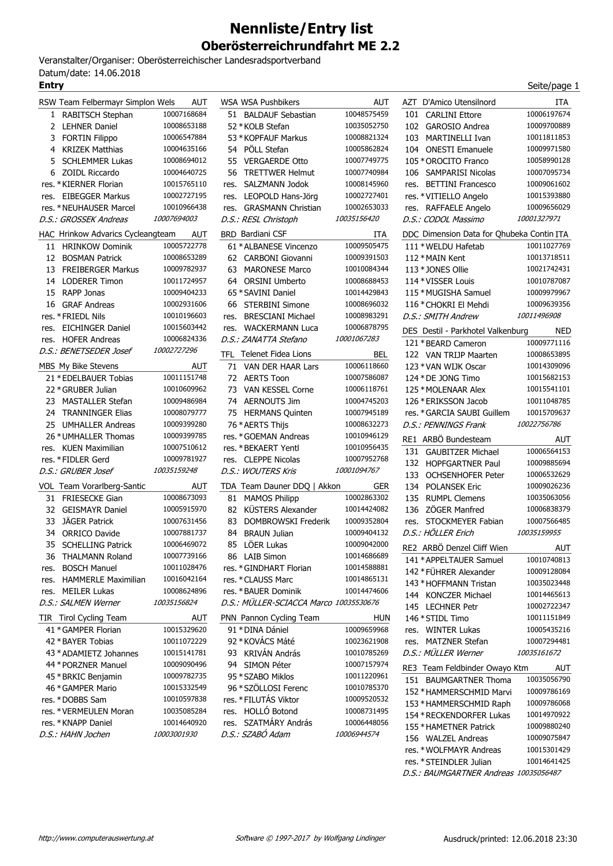## **Nennliste/Entry list Oberösterreichrundfahrt ME 2.2**

Veranstalter/Organiser: Oberösterreichischer Landesradsportverband Datum/date: 14.06.2018

| Entry                              |             |                                        |             |                                           | Seite/page 1       |
|------------------------------------|-------------|----------------------------------------|-------------|-------------------------------------------|--------------------|
| RSW Team Felbermayr Simplon Wels   | <b>AUT</b>  | <b>WSA WSA Pushbikers</b>              | AUT         | AZT D'Amico Utensilnord                   | ITA                |
| 1 RABITSCH Stephan                 | 10007168684 | 51 BALDAUF Sebastian                   | 10048575459 | 101 CARLINI Ettore                        | 10006197674        |
| <b>LEHNER Daniel</b><br>2          | 10008653188 | 52 * KOLB Stefan                       | 10035052750 | 102 GAROSIO Andrea                        | 10009700889        |
| <b>FORTIN Filippo</b><br>3         | 10006547884 | 53 * KOPFAUF Markus                    | 10008821324 | 103 MARTINELLI Ivan                       | 10011811853        |
| <b>KRIZEK Matthias</b><br>4        | 10004635166 | PÖLL Stefan<br>54                      | 10005862824 | 104 ONESTI Emanuele                       | 10009971580        |
| 5<br><b>SCHLEMMER Lukas</b>        | 10008694012 | 55 VERGAERDE Otto                      | 10007749775 | 105 * OROCITO Franco                      | 10058990128        |
| 6<br>ZOIDL Riccardo                | 10004640725 | <b>TRETTWER Helmut</b><br>56           | 10007740984 | 106 SAMPARISI Nicolas                     | 10007095734        |
| res. * KIERNER Florian             | 10015765110 | SALZMANN Jodok<br>res.                 | 10008145960 | res. BETTINI Francesco                    | 10009061602        |
| <b>EIBEGGER Markus</b><br>res.     | 10002727195 | LEOPOLD Hans-Jörg<br>res.              | 10002727401 | res. * VITIELLO Angelo                    | 10015393880        |
| res. * NEUHAUSER Marcel            | 10010966438 | <b>GRASMANN Christian</b><br>res.      | 10002653033 | res. RAFFAELE Angelo                      | 10009656029        |
| D.S.: GROSSEK Andreas              | 10007694003 | D.S.: RESL Christoph                   | 10035156420 | D.S.: CODOL Massimo                       | <i>10001327971</i> |
| HAC Hrinkow Advarics Cycleangteam  | <b>AUT</b>  | <b>BRD Bardiani CSF</b>                | ITA         | DDC Dimension Data for Qhubeka Contin ITA |                    |
| <b>HRINKOW Dominik</b><br>11       | 10005722778 | 61 * ALBANESE Vincenzo                 | 10009505475 | 111 * WELDU Hafetab                       | 10011027769        |
| <b>BOSMAN Patrick</b><br>12        | 10008653289 | 62 CARBONI Giovanni                    | 10009391503 | 112 * MAIN Kent                           | 10013718511        |
| <b>FREIBERGER Markus</b><br>13     | 10009782937 | <b>MARONESE Marco</b><br>63            | 10010084344 | 113 * JONES Ollie                         | 10021742431        |
| <b>LODERER Timon</b><br>14         | 10011724957 | <b>ORSINI Umberto</b><br>64            | 10008688453 | 114 * VISSER Louis                        | 10010787087        |
| RAPP Jonas<br>15                   | 10009404233 | 65 * SAVINI Daniel                     | 10014429843 | 115 * MUGISHA Samuel                      | 10009979967        |
| 16<br><b>GRAF Andreas</b>          | 10002931606 | 66<br><b>STERBINI Simone</b>           | 10008696032 | 116 * CHOKRI El Mehdi                     | 10009639356        |
| res. * FRIEDL Nils                 | 10010196603 | <b>BRESCIANI Michael</b><br>res.       | 10008983291 | D.S.: SMITH Andrew                        | 10011496908        |
| <b>EICHINGER Daniel</b><br>res.    | 10015603442 | <b>WACKERMANN Luca</b><br>res.         | 10006878795 | DES Destil - Parkhotel Valkenburg         | <b>NED</b>         |
| <b>HOFER Andreas</b><br>res.       | 10006824336 | D.S.: ZANATTA Stefano                  | 10001067283 | 121 * BEARD Cameron                       | 10009771116        |
| D.S.: BENETSEDER Josef             | 10002727296 | TFL Telenet Fidea Lions                | <b>BEL</b>  | 122 VAN TRIJP Maarten                     | 10008653895        |
| MBS My Bike Stevens                | <b>AUT</b>  | 71 VAN DER HAAR Lars                   | 10006118660 | 123 * VAN WIJK Oscar                      | 10014309096        |
| 21 * EDELBAUER Tobias              | 10011151748 | 72 AERTS Toon                          | 10007586087 | 124 * DE JONG Timo                        | 10015682153        |
| 22 * GRUBER Julian                 | 10010609962 | 73<br>VAN KESSEL Corne                 | 10006118761 | 125 * MOLENAAR Alex                       | 10015541101        |
| 23<br><b>MASTALLER Stefan</b>      | 10009486984 | <b>AERNOUTS Jim</b><br>74              | 10004745203 | 126 * ERIKSSON Jacob                      | 10011048785        |
| <b>TRANNINGER Elias</b><br>24      | 10008079777 | 75 HERMANS Quinten                     | 10007945189 | res. * GARCIA SAUBI Guillem               | 10015709637        |
| 25<br><b>UMHALLER Andreas</b>      | 10009399280 | 76 * AERTS Thijs                       | 10008632273 | D.S.: PENNINGS Frank                      | 10022756786        |
| 26 * UMHALLER Thomas               | 10009399785 | res. * GOEMAN Andreas                  | 10010946129 | RE1 ARBÖ Bundesteam                       | AUT                |
| <b>KUEN Maximilian</b><br>res.     | 10007510612 | res. * BEKAERT Yentl                   | 10010956435 | 131 GAUBITZER Michael                     | 10006564153        |
| res. * FIDLER Gerd                 | 10009781927 | <b>CLEPPE Nicolas</b><br>res.          | 10007952768 | 132 HOPFGARTNER Paul                      | 10009885694        |
| D.S.: GRUBER Josef                 | 10035159248 | D.S.: WOUTERS Kris                     | 10001094767 | 133<br>OCHSENHOFER Peter                  | 10006532629        |
| VOL Team Vorarlberg-Santic         | AUT         | TDA Team Dauner DDQ   Akkon            | <b>GER</b>  | 134 POLANSEK Eric                         | 10009026236        |
| <b>FRIESECKE Gian</b><br>31        | 10008673093 | <b>MAMOS Philipp</b><br>81             | 10002863302 | 135 RUMPL Clemens                         | 10035063056        |
| <b>GEISMAYR Daniel</b><br>32       | 10005915970 | 82<br><b>KÜSTERS Alexander</b>         | 10014424082 | 136 ZÖGER Manfred                         | 10006838379        |
| JÄGER Patrick<br>33                | 10007631456 | 83<br>DOMBROWSKI Frederik              | 10009352804 | res. STOCKMEYER Fabian                    | 10007566485        |
| 34 ORRICO Davide                   | 10007881737 | 84 BRAUN Julian                        | 10009404132 | D.S.: HÖLLER Erich                        | 10035159955        |
| 35 SCHELLING Patrick               | 10006469072 | 85 LÖER Lukas                          | 10009042000 | RE2 ARBÖ Denzel Cliff Wien                | <b>AUT</b>         |
| 36 THALMANN Roland                 | 10007739166 | 86 LAIB Simon                          | 10014686689 | 141 * APPELTAUER Samuel                   | 10010740813        |
| <b>BOSCH Manuel</b><br>res.        | 10011028476 | res. * GINDHART Florian                | 10014588881 | 142 * FÜHRER Alexander                    | 10009128084        |
| <b>HAMMERLE Maximilian</b><br>res. | 10016042164 | res. * CLAUSS Marc                     | 10014865131 | 143 * HOFFMANN Tristan                    | 10035023448        |
| res. MEILER Lukas                  | 10008624896 | res. * BAUER Dominik                   | 10014474606 | 144 KONCZER Michael                       | 10014465613        |
| D.S.: SALMEN Werner                | 10035156824 | D.S.: MÜLLER-SCIACCA Marco 10035530676 |             | 145 LECHNER Petr                          | 10002722347        |
| TIR Tirol Cycling Team             | AUT         | PNN Pannon Cycling Team                | <b>HUN</b>  | 146 * STIDL Timo                          | 10011151849        |
| 41 * GAMPER Florian                | 10015329620 | 91 * DINA Dániel                       | 10009659968 | res. WINTER Lukas                         | 10005435216        |
| 42 * BAYER Tobias                  | 10011072229 | 92 * KOVÁCS Máté                       | 10023621908 | res. MATZNER Stefan                       | 10007294481        |
| 43 * ADAMIETZ Johannes             | 10015141781 | 93 KRIVÁN András                       | 10010785269 | D.S.: MÜLLER Werner                       | 10035161672        |
| 44 * PORZNER Manuel                | 10009090496 | 94 SIMON Péter                         | 10007157974 | RE3 Team Feldbinder Owayo Ktm             | AUT                |
| 45 * BRKIC Benjamin                | 10009782735 | 95 * SZABO Miklos                      | 10011220961 | 151 BAUMGARTNER Thoma                     | 10035056790        |
| 46 * GAMPER Mario                  | 10015332549 | 96 * SZÖLLOSI Ferenc                   | 10010785370 | 152 * HAMMERSCHMID Marvi                  | 10009786169        |
| res. * DOBBS Sam                   | 10010597838 | res. * FILUTÁS Viktor                  | 10009520532 | 153 * HAMMERSCHMID Raph                   | 10009786068        |
| res. * VERMEULEN Moran             | 10035085284 | res. HOLLÓ Botond                      | 10008731495 | 154 * RECKENDORFER Lukas                  | 10014970922        |
| res. * KNAPP Daniel                | 10014640920 | res. SZATMÁRY András                   | 10006448056 | 155 * HAMETNER Patrick                    | 10009880240        |
| D.S.: HAHN Jochen                  | 10003001930 | D.S.: SZABÓ Adam                       | 10006944574 | 156 WALZEL Andreas                        | 10009075847        |
|                                    |             |                                        |             | res. * WOLFMAYR Andreas                   | 10015301429        |
|                                    |             |                                        |             | res. * STEINDLER Julian                   | 10014641425        |

D.S.: BAUMGARTNER Andreas 10035056487